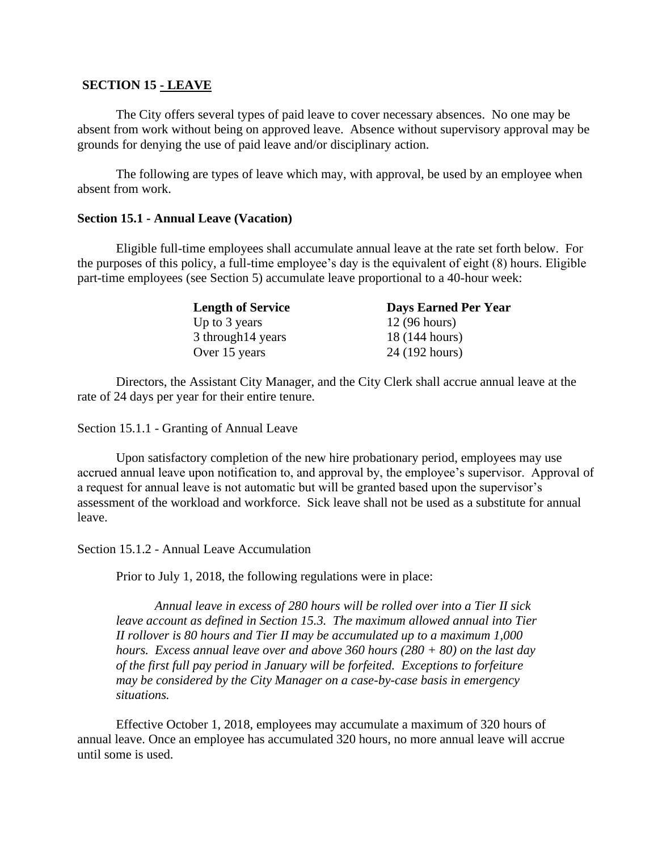### **SECTION 15 - LEAVE**

The City offers several types of paid leave to cover necessary absences. No one may be absent from work without being on approved leave. Absence without supervisory approval may be grounds for denying the use of paid leave and/or disciplinary action.

The following are types of leave which may, with approval, be used by an employee when absent from work.

#### **Section 15.1 - Annual Leave (Vacation)**

Eligible full-time employees shall accumulate annual leave at the rate set forth below. For the purposes of this policy, a full-time employee's day is the equivalent of eight (8) hours. Eligible part-time employees (see Section 5) accumulate leave proportional to a 40-hour week:

| <b>Length of Service</b> | <b>Days Earned Per Year</b> |
|--------------------------|-----------------------------|
| Up to 3 years            | 12 (96 hours)               |
| 3 through 14 years       | 18 (144 hours)              |
| Over 15 years            | 24 (192 hours)              |

Directors, the Assistant City Manager, and the City Clerk shall accrue annual leave at the rate of 24 days per year for their entire tenure.

Section 15.1.1 - Granting of Annual Leave

Upon satisfactory completion of the new hire probationary period, employees may use accrued annual leave upon notification to, and approval by, the employee's supervisor. Approval of a request for annual leave is not automatic but will be granted based upon the supervisor's assessment of the workload and workforce. Sick leave shall not be used as a substitute for annual leave.

Section 15.1.2 - Annual Leave Accumulation

Prior to July 1, 2018, the following regulations were in place:

*Annual leave in excess of 280 hours will be rolled over into a Tier II sick leave account as defined in Section 15.3. The maximum allowed annual into Tier II rollover is 80 hours and Tier II may be accumulated up to a maximum 1,000 hours. Excess annual leave over and above 360 hours (280 + 80) on the last day of the first full pay period in January will be forfeited. Exceptions to forfeiture may be considered by the City Manager on a case-by-case basis in emergency situations.*

Effective October 1, 2018, employees may accumulate a maximum of 320 hours of annual leave. Once an employee has accumulated 320 hours, no more annual leave will accrue until some is used.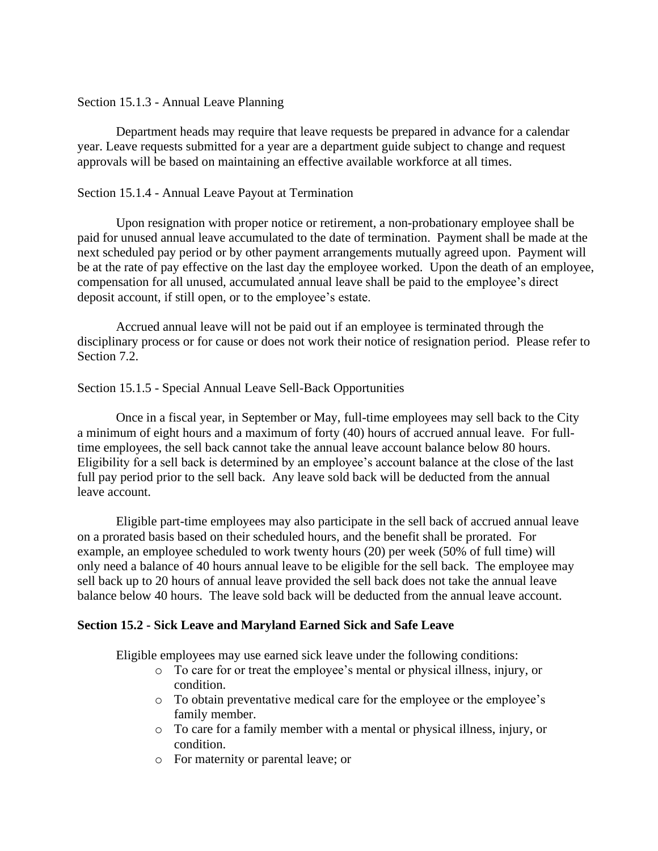## Section 15.1.3 - Annual Leave Planning

Department heads may require that leave requests be prepared in advance for a calendar year. Leave requests submitted for a year are a department guide subject to change and request approvals will be based on maintaining an effective available workforce at all times.

# Section 15.1.4 - Annual Leave Payout at Termination

Upon resignation with proper notice or retirement, a non-probationary employee shall be paid for unused annual leave accumulated to the date of termination. Payment shall be made at the next scheduled pay period or by other payment arrangements mutually agreed upon. Payment will be at the rate of pay effective on the last day the employee worked. Upon the death of an employee, compensation for all unused, accumulated annual leave shall be paid to the employee's direct deposit account, if still open, or to the employee's estate.

Accrued annual leave will not be paid out if an employee is terminated through the disciplinary process or for cause or does not work their notice of resignation period. Please refer to Section 7.2.

## Section 15.1.5 - Special Annual Leave Sell-Back Opportunities

Once in a fiscal year, in September or May, full-time employees may sell back to the City a minimum of eight hours and a maximum of forty (40) hours of accrued annual leave. For fulltime employees, the sell back cannot take the annual leave account balance below 80 hours. Eligibility for a sell back is determined by an employee's account balance at the close of the last full pay period prior to the sell back. Any leave sold back will be deducted from the annual leave account.

Eligible part-time employees may also participate in the sell back of accrued annual leave on a prorated basis based on their scheduled hours, and the benefit shall be prorated. For example, an employee scheduled to work twenty hours (20) per week (50% of full time) will only need a balance of 40 hours annual leave to be eligible for the sell back. The employee may sell back up to 20 hours of annual leave provided the sell back does not take the annual leave balance below 40 hours. The leave sold back will be deducted from the annual leave account.

## **Section 15.2 - Sick Leave and Maryland Earned Sick and Safe Leave**

Eligible employees may use earned sick leave under the following conditions:

- o To care for or treat the employee's mental or physical illness, injury, or condition.
- o To obtain preventative medical care for the employee or the employee's family member.
- o To care for a family member with a mental or physical illness, injury, or condition.
- o For maternity or parental leave; or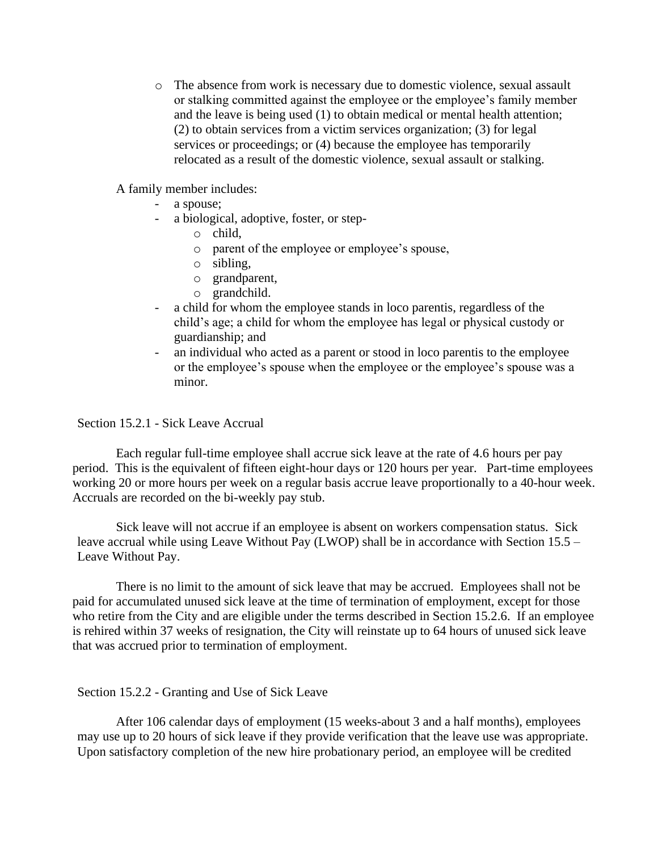o The absence from work is necessary due to domestic violence, sexual assault or stalking committed against the employee or the employee's family member and the leave is being used (1) to obtain medical or mental health attention; (2) to obtain services from a victim services organization; (3) for legal services or proceedings; or  $(4)$  because the employee has temporarily relocated as a result of the domestic violence, sexual assault or stalking.

A family member includes:

- a spouse;
- a biological, adoptive, foster, or step
	- o child,
	- o parent of the employee or employee's spouse,
	- o sibling,
	- o grandparent,
	- o grandchild.
- a child for whom the employee stands in loco parentis, regardless of the child's age; a child for whom the employee has legal or physical custody or guardianship; and
- an individual who acted as a parent or stood in loco parentis to the employee or the employee's spouse when the employee or the employee's spouse was a minor.

Section 15.2.1 - Sick Leave Accrual

Each regular full-time employee shall accrue sick leave at the rate of 4.6 hours per pay period. This is the equivalent of fifteen eight-hour days or 120 hours per year. Part-time employees working 20 or more hours per week on a regular basis accrue leave proportionally to a 40-hour week. Accruals are recorded on the bi-weekly pay stub.

Sick leave will not accrue if an employee is absent on workers compensation status. Sick leave accrual while using Leave Without Pay (LWOP) shall be in accordance with Section 15.5 – Leave Without Pay.

There is no limit to the amount of sick leave that may be accrued. Employees shall not be paid for accumulated unused sick leave at the time of termination of employment, except for those who retire from the City and are eligible under the terms described in Section 15.2.6. If an employee is rehired within 37 weeks of resignation, the City will reinstate up to 64 hours of unused sick leave that was accrued prior to termination of employment.

Section 15.2.2 - Granting and Use of Sick Leave

After 106 calendar days of employment (15 weeks-about 3 and a half months), employees may use up to 20 hours of sick leave if they provide verification that the leave use was appropriate. Upon satisfactory completion of the new hire probationary period, an employee will be credited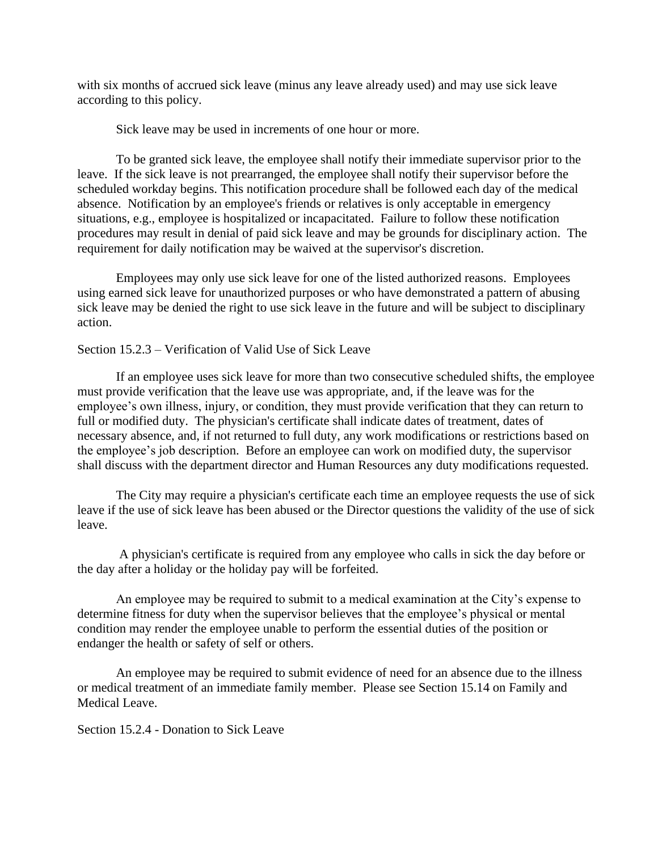with six months of accrued sick leave (minus any leave already used) and may use sick leave according to this policy.

Sick leave may be used in increments of one hour or more.

To be granted sick leave, the employee shall notify their immediate supervisor prior to the leave. If the sick leave is not prearranged, the employee shall notify their supervisor before the scheduled workday begins. This notification procedure shall be followed each day of the medical absence. Notification by an employee's friends or relatives is only acceptable in emergency situations, e.g., employee is hospitalized or incapacitated. Failure to follow these notification procedures may result in denial of paid sick leave and may be grounds for disciplinary action. The requirement for daily notification may be waived at the supervisor's discretion.

Employees may only use sick leave for one of the listed authorized reasons. Employees using earned sick leave for unauthorized purposes or who have demonstrated a pattern of abusing sick leave may be denied the right to use sick leave in the future and will be subject to disciplinary action.

#### Section 15.2.3 – Verification of Valid Use of Sick Leave

If an employee uses sick leave for more than two consecutive scheduled shifts, the employee must provide verification that the leave use was appropriate, and, if the leave was for the employee's own illness, injury, or condition, they must provide verification that they can return to full or modified duty. The physician's certificate shall indicate dates of treatment, dates of necessary absence, and, if not returned to full duty, any work modifications or restrictions based on the employee's job description. Before an employee can work on modified duty, the supervisor shall discuss with the department director and Human Resources any duty modifications requested.

The City may require a physician's certificate each time an employee requests the use of sick leave if the use of sick leave has been abused or the Director questions the validity of the use of sick leave.

A physician's certificate is required from any employee who calls in sick the day before or the day after a holiday or the holiday pay will be forfeited.

An employee may be required to submit to a medical examination at the City's expense to determine fitness for duty when the supervisor believes that the employee's physical or mental condition may render the employee unable to perform the essential duties of the position or endanger the health or safety of self or others.

An employee may be required to submit evidence of need for an absence due to the illness or medical treatment of an immediate family member. Please see Section 15.14 on Family and Medical Leave.

Section 15.2.4 - Donation to Sick Leave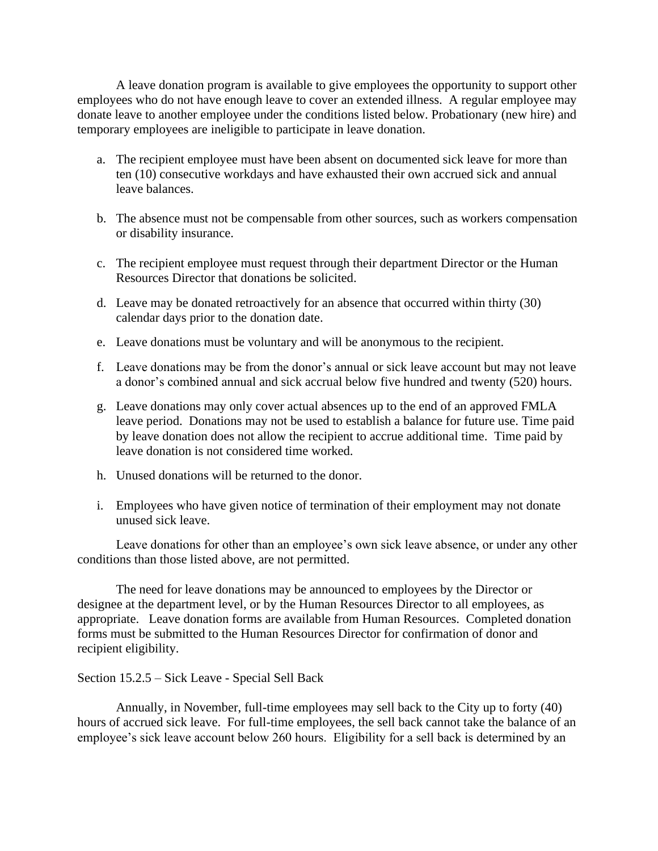A leave donation program is available to give employees the opportunity to support other employees who do not have enough leave to cover an extended illness. A regular employee may donate leave to another employee under the conditions listed below. Probationary (new hire) and temporary employees are ineligible to participate in leave donation.

- a. The recipient employee must have been absent on documented sick leave for more than ten (10) consecutive workdays and have exhausted their own accrued sick and annual leave balances.
- b. The absence must not be compensable from other sources, such as workers compensation or disability insurance.
- c. The recipient employee must request through their department Director or the Human Resources Director that donations be solicited.
- d. Leave may be donated retroactively for an absence that occurred within thirty (30) calendar days prior to the donation date.
- e. Leave donations must be voluntary and will be anonymous to the recipient.
- f. Leave donations may be from the donor's annual or sick leave account but may not leave a donor's combined annual and sick accrual below five hundred and twenty (520) hours.
- g. Leave donations may only cover actual absences up to the end of an approved FMLA leave period. Donations may not be used to establish a balance for future use. Time paid by leave donation does not allow the recipient to accrue additional time. Time paid by leave donation is not considered time worked.
- h. Unused donations will be returned to the donor.
- i. Employees who have given notice of termination of their employment may not donate unused sick leave.

Leave donations for other than an employee's own sick leave absence, or under any other conditions than those listed above, are not permitted.

The need for leave donations may be announced to employees by the Director or designee at the department level, or by the Human Resources Director to all employees, as appropriate. Leave donation forms are available from Human Resources. Completed donation forms must be submitted to the Human Resources Director for confirmation of donor and recipient eligibility.

#### Section 15.2.5 – Sick Leave - Special Sell Back

Annually, in November, full-time employees may sell back to the City up to forty (40) hours of accrued sick leave. For full-time employees, the sell back cannot take the balance of an employee's sick leave account below 260 hours. Eligibility for a sell back is determined by an